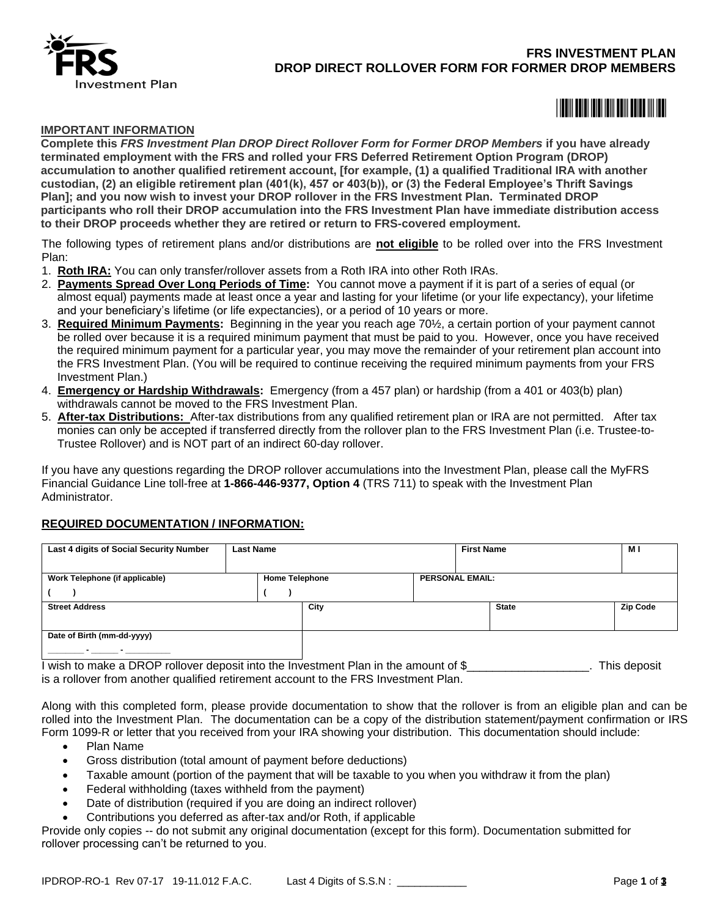

# **FRS INVESTMENT PLAN DROP DIRECT ROLLOVER FORM FOR FORMER DROP MEMBERS**

<u>\*08800 \$08800 \$08800 \$0880 \$0880 \$0880 \$0880 \$0880 \$0880 \$0880 \$0880 \$0880 \$0880 \$0880 \$0880 \$0880 \$0880 \$0880 \$08</u>

#### **IMPORTANT INFORMATION**

**Complete this** *FRS Investment Plan DROP Direct Rollover Form for Former DROP Members* **if you have already terminated employment with the FRS and rolled your FRS Deferred Retirement Option Program (DROP) accumulation to another qualified retirement account, [for example, (1) a qualified Traditional IRA with another custodian, (2) an eligible retirement plan (401(k), 457 or 403(b)), or (3) the Federal Employee's Thrift Savings Plan]; and you now wish to invest your DROP rollover in the FRS Investment Plan. Terminated DROP participants who roll their DROP accumulation into the FRS Investment Plan have immediate distribution access to their DROP proceeds whether they are retired or return to FRS-covered employment.**

The following types of retirement plans and/or distributions are **not eligible** to be rolled over into the FRS Investment Plan:

- 1. **Roth IRA:** You can only transfer/rollover assets from a Roth IRA into other Roth IRAs.
- 2. **Payments Spread Over Long Periods of Time:** You cannot move a payment if it is part of a series of equal (or almost equal) payments made at least once a year and lasting for your lifetime (or your life expectancy), your lifetime and your beneficiary's lifetime (or life expectancies), or a period of 10 years or more.
- 3. **Required Minimum Payments:** Beginning in the year you reach age 70½, a certain portion of your payment cannot be rolled over because it is a required minimum payment that must be paid to you. However, once you have received the required minimum payment for a particular year, you may move the remainder of your retirement plan account into the FRS Investment Plan. (You will be required to continue receiving the required minimum payments from your FRS Investment Plan.)
- 4. **Emergency or Hardship Withdrawals:** Emergency (from a 457 plan) or hardship (from a 401 or 403(b) plan) withdrawals cannot be moved to the FRS Investment Plan.
- 5. **After-tax Distributions:** After-tax distributions from any qualified retirement plan or IRA are not permitted. After tax monies can only be accepted if transferred directly from the rollover plan to the FRS Investment Plan (i.e. Trustee-to-Trustee Rollover) and is NOT part of an indirect 60-day rollover.

If you have any questions regarding the DROP rollover accumulations into the Investment Plan, please call the MyFRS Financial Guidance Line toll-free at **1-866-446-9377, Option 4** (TRS 711) to speak with the Investment Plan Administrator.

#### **REQUIRED DOCUMENTATION / INFORMATION:**

| Last 4 digits of Social Security Number | <b>Last Name</b>      |  |      |  |                        | <b>First Name</b> |  |                 |
|-----------------------------------------|-----------------------|--|------|--|------------------------|-------------------|--|-----------------|
|                                         |                       |  |      |  |                        |                   |  |                 |
| Work Telephone (if applicable)          | <b>Home Telephone</b> |  |      |  | <b>PERSONAL EMAIL:</b> |                   |  |                 |
|                                         |                       |  |      |  |                        |                   |  |                 |
| <b>Street Address</b>                   |                       |  | City |  |                        | <b>State</b>      |  | <b>Zip Code</b> |
|                                         |                       |  |      |  |                        |                   |  |                 |
| Date of Birth (mm-dd-yyyy)              |                       |  |      |  |                        |                   |  |                 |
| $\overline{\phantom{a}}$                |                       |  |      |  |                        |                   |  |                 |

I wish to make a DROP rollover deposit into the Investment Plan in the amount of \$\_\_\_\_\_\_\_\_\_\_\_\_\_\_\_\_\_\_\_. This deposit is a rollover from another qualified retirement account to the FRS Investment Plan.

Along with this completed form, please provide documentation to show that the rollover is from an eligible plan and can be rolled into the Investment Plan. The documentation can be a copy of the distribution statement/payment confirmation or IRS Form 1099-R or letter that you received from your IRA showing your distribution. This documentation should include:

- Plan Name
- Gross distribution (total amount of payment before deductions)
- Taxable amount (portion of the payment that will be taxable to you when you withdraw it from the plan)
- Federal withholding (taxes withheld from the payment)
- Date of distribution (required if you are doing an indirect rollover)
- Contributions you deferred as after-tax and/or Roth, if applicable

Provide only copies -- do not submit any original documentation (except for this form). Documentation submitted for rollover processing can't be returned to you.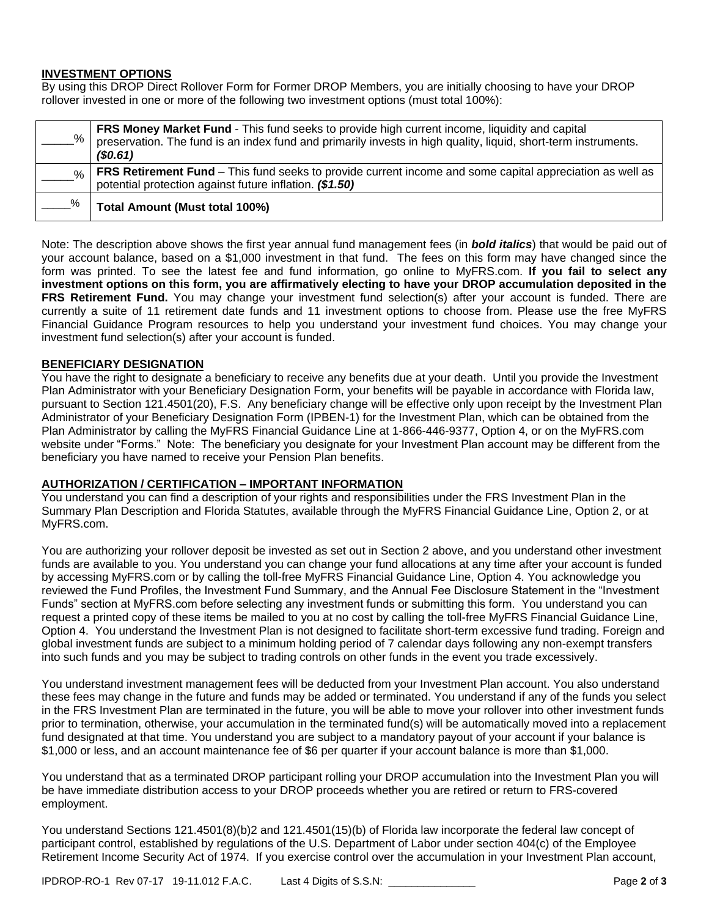#### **INVESTMENT OPTIONS**

By using this DROP Direct Rollover Form for Former DROP Members, you are initially choosing to have your DROP rollover invested in one or more of the following two investment options (must total 100%):

| %             | FRS Money Market Fund - This fund seeks to provide high current income, liquidity and capital preservation. The fund is an index fund and primarily invests in high quality, liquid, short-term instruments.<br>(S0.61) |
|---------------|-------------------------------------------------------------------------------------------------------------------------------------------------------------------------------------------------------------------------|
| $\frac{0}{6}$ | FRS Retirement Fund - This fund seeks to provide current income and some capital appreciation as well as<br>potential protection against future inflation. (\$1.50)                                                     |
| %             | Total Amount (Must total 100%)                                                                                                                                                                                          |

Note: The description above shows the first year annual fund management fees (in *bold italics*) that would be paid out of your account balance, based on a \$1,000 investment in that fund. The fees on this form may have changed since the form was printed. To see the latest fee and fund information, go online to MyFRS.com. **If you fail to select any investment options on this form, you are affirmatively electing to have your DROP accumulation deposited in the FRS Retirement Fund.** You may change your investment fund selection(s) after your account is funded. There are currently a suite of 11 retirement date funds and 11 investment options to choose from. Please use the free MyFRS Financial Guidance Program resources to help you understand your investment fund choices. You may change your investment fund selection(s) after your account is funded.

### **BENEFICIARY DESIGNATION**

You have the right to designate a beneficiary to receive any benefits due at your death. Until you provide the Investment Plan Administrator with your Beneficiary Designation Form, your benefits will be payable in accordance with Florida law, pursuant to Section 121.4501(20), F.S. Any beneficiary change will be effective only upon receipt by the Investment Plan Administrator of your Beneficiary Designation Form (IPBEN-1) for the Investment Plan, which can be obtained from the Plan Administrator by calling the MyFRS Financial Guidance Line at 1-866-446-9377, Option 4, or on the MyFRS.com website under "Forms." Note: The beneficiary you designate for your Investment Plan account may be different from the beneficiary you have named to receive your Pension Plan benefits.

## **AUTHORIZATION / CERTIFICATION – IMPORTANT INFORMATION**

You understand you can find a description of your rights and responsibilities under the FRS Investment Plan in the Summary Plan Description and Florida Statutes, available through the MyFRS Financial Guidance Line, Option 2, or at MyFRS.com.

You are authorizing your rollover deposit be invested as set out in Section 2 above, and you understand other investment funds are available to you. You understand you can change your fund allocations at any time after your account is funded by accessing MyFRS.com or by calling the toll-free MyFRS Financial Guidance Line, Option 4. You acknowledge you reviewed the Fund Profiles, the Investment Fund Summary, and the Annual Fee Disclosure Statement in the "Investment Funds" section at MyFRS.com before selecting any investment funds or submitting this form. You understand you can request a printed copy of these items be mailed to you at no cost by calling the toll-free MyFRS Financial Guidance Line, Option 4. You understand the Investment Plan is not designed to facilitate short-term excessive fund trading. Foreign and global investment funds are subject to a minimum holding period of 7 calendar days following any non-exempt transfers into such funds and you may be subject to trading controls on other funds in the event you trade excessively.

You understand investment management fees will be deducted from your Investment Plan account. You also understand these fees may change in the future and funds may be added or terminated. You understand if any of the funds you select in the FRS Investment Plan are terminated in the future, you will be able to move your rollover into other investment funds prior to termination, otherwise, your accumulation in the terminated fund(s) will be automatically moved into a replacement fund designated at that time. You understand you are subject to a mandatory payout of your account if your balance is \$1,000 or less, and an account maintenance fee of \$6 per quarter if your account balance is more than \$1,000.

You understand that as a terminated DROP participant rolling your DROP accumulation into the Investment Plan you will be have immediate distribution access to your DROP proceeds whether you are retired or return to FRS-covered employment.

You understand Sections 121.4501(8)(b)2 and 121.4501(15)(b) of Florida law incorporate the federal law concept of participant control, established by regulations of the U.S. Department of Labor under section 404(c) of the Employee Retirement Income Security Act of 1974. If you exercise control over the accumulation in your Investment Plan account,